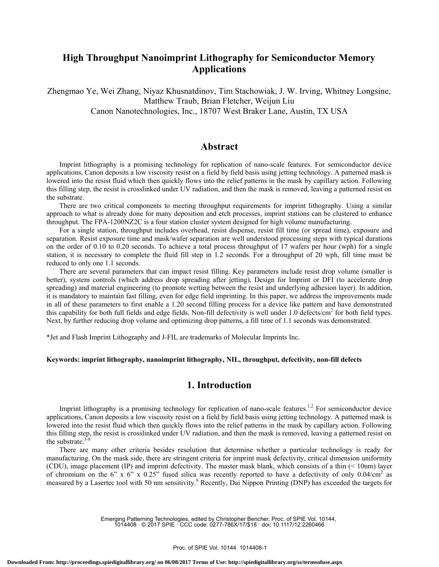# **High Throughput Nanoimprint Lithography for Semiconductor Memory Applications**

Zhengmao Ye, Wei Zhang, Niyaz Khusnatdinov, Tim Stachowiak, J. W. Irving, Whitney Longsine, Matthew Traub, Brian Fletcher, Weijun Liu Canon Nanotechnologies, Inc., 18707 West Braker Lane, Austin, TX USA

## **Abstract**

Imprint lithography is a promising technology for replication of nano-scale features. For semiconductor device applications, Canon deposits a low viscosity resist on a field by field basis using jetting technology. A patterned mask is lowered into the resist fluid which then quickly flows into the relief patterns in the mask by capillary action. Following this filling step, the resist is crosslinked under UV radiation, and then the mask is removed, leaving a patterned resist on the substrate.

There are two critical components to meeting throughput requirements for imprint lithography. Using a similar approach to what is already done for many deposition and etch processes, imprint stations can be clustered to enhance throughput. The FPA-1200NZ2C is a four station cluster system designed for high volume manufacturing.

For a single station, throughput includes overhead, resist dispense, resist fill time (or spread time), exposure and separation. Resist exposure time and mask/wafer separation are well understood processing steps with typical durations on the order of 0.10 to 0.20 seconds. To achieve a total process throughput of 17 wafers per hour (wph) for a single station, it is necessary to complete the fluid fill step in 1.2 seconds. For a throughput of 20 wph, fill time must be reduced to only one 1.1 seconds.

There are several parameters that can impact resist filling. Key parameters include resist drop volume (smaller is better), system controls (which address drop spreading after jetting), Design for Imprint or DFI (to accelerate drop spreading) and material engineering (to promote wetting between the resist and underlying adhesion layer). In addition, it is mandatory to maintain fast filling, even for edge field imprinting. In this paper, we address the improvements made in all of these parameters to first enable a 1.20 second filling process for a device like pattern and have demonstrated this capability for both full fields and edge fields. Non-fill defectivity is well under 1.0 defects/cm<sup>2</sup> for both field types. Next, by further reducing drop volume and optimizing drop patterns, a fill time of 1.1 seconds was demonstrated.

\*Jet and Flash Imprint Lithography and J-FIL are trademarks of Molecular Imprints Inc.

#### **Keywords: imprint lithography, nanoimprint lithography, NIL, throughput, defectivity, non-fill defects**

### **1. Introduction**

Imprint lithography is a promising technology for replication of nano-scale features.<sup>1,2</sup> For semiconductor device applications, Canon deposits a low viscosity resist on a field by field basis using jetting technology. A patterned mask is lowered into the resist fluid which then quickly flows into the relief patterns in the mask by capillary action. Following this filling step, the resist is crosslinked under UV radiation, and then the mask is removed, leaving a patterned resist on the substrate. $3-8$ 

There are many other criteria besides resolution that determine whether a particular technology is ready for manufacturing. On the mask side, there are stringent criteria for imprint mask defectivity, critical dimension uniformity (CDU), image placement (IP) and imprint defectivity. The master mask blank, which consists of a thin (< 10nm) layer of chromium on the 6" x 6" x 0.25" fused silica was recently reported to have a defectivity of only 0.04/cm<sup>2</sup> as measured by a Lasertec tool with 50 nm sensitivity.<sup>9</sup> Recently, Dai Nippon Printing (DNP) has exceeded the targets for

> Emerging Patterning Technologies, edited by Christopher Bencher, Proc. of SPIE Vol. 10144, 1014408 · © 2017 SPIE · CCC code: 0277-786X/17/\$18 · doi: 10.1117/12.2260466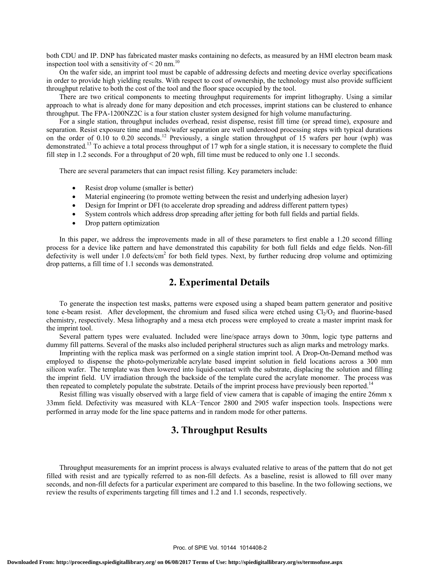both CDU and IP. DNP has fabricated master masks containing no defects, as measured by an HMI electron beam mask inspection tool with a sensitivity of  $\leq 20$  nm.<sup>10</sup>

On the wafer side, an imprint tool must be capable of addressing defects and meeting device overlay specifications in order to provide high yielding results. With respect to cost of ownership, the technology must also provide sufficient throughput relative to both the cost of the tool and the floor space occupied by the tool.

There are two critical components to meeting throughput requirements for imprint lithography. Using a similar approach to what is already done for many deposition and etch processes, imprint stations can be clustered to enhance throughput. The FPA-1200NZ2C is a four station cluster system designed for high volume manufacturing.

For a single station, throughput includes overhead, resist dispense, resist fill time (or spread time), exposure and separation. Resist exposure time and mask/wafer separation are well understood processing steps with typical durations on the order of 0.10 to 0.20 seconds.<sup>12</sup> Previously, a single station throughput of 15 wafers per hour (wph) was demonstrated.<sup>13</sup> To achieve a total process throughput of 17 wph for a single station, it is necessary to complete the fluid fill step in 1.2 seconds. For a throughput of 20 wph, fill time must be reduced to only one 1.1 seconds.

There are several parameters that can impact resist filling. Key parameters include:

- Resist drop volume (smaller is better)
- Material engineering (to promote wetting between the resist and underlying adhesion layer)
- Design for Imprint or DFI (to accelerate drop spreading and address different pattern types)
- System controls which address drop spreading after jetting for both full fields and partial fields.
- Drop pattern optimization

In this paper, we address the improvements made in all of these parameters to first enable a 1.20 second filling process for a device like pattern and have demonstrated this capability for both full fields and edge fields. Non-fill defectivity is well under  $1.0$  defects/cm<sup>2</sup> for both field types. Next, by further reducing drop volume and optimizing drop patterns, a fill time of 1.1 seconds was demonstrated.

## **2. Experimental Details**

To generate the inspection test masks, patterns were exposed using a shaped beam pattern generator and positive tone e-beam resist. After development, the chromium and fused silica were etched using  $Cl<sub>2</sub>/O<sub>2</sub>$  and fluorine-based chemistry, respectively. Mesa lithography and a mesa etch process were employed to create a master imprint mask for the imprint tool.

Several pattern types were evaluated. Included were line/space arrays down to 30nm, logic type patterns and dummy fill patterns. Several of the masks also included peripheral structures such as align marks and metrology marks.

Imprinting with the replica mask was performed on a single station imprint tool. A Drop-On-Demand method was employed to dispense the photo-polymerizable acrylate based imprint solution in field locations across a 300 mm silicon wafer. The template was then lowered into liquid-contact with the substrate, displacing the solution and filling the imprint field. UV irradiation through the backside of the template cured the acrylate monomer. The process was then repeated to completely populate the substrate. Details of the imprint process have previously been reported.<sup>14</sup>

Resist filling was visually observed with a large field of view camera that is capable of imaging the entire 26mm x 33mm field. Defectivity was measured with KLA-Tencor 2800 and 2905 wafer inspection tools. Inspections were performed in array mode for the line space patterns and in random mode for other patterns.

## **3. Throughput Results**

Throughput measurements for an imprint process is always evaluated relative to areas of the pattern that do not get filled with resist and are typically referred to as non-fill defects. As a baseline, resist is allowed to fill over many seconds, and non-fill defects for a particular experiment are compared to this baseline. In the two following sections, we review the results of experiments targeting fill times and 1.2 and 1.1 seconds, respectively.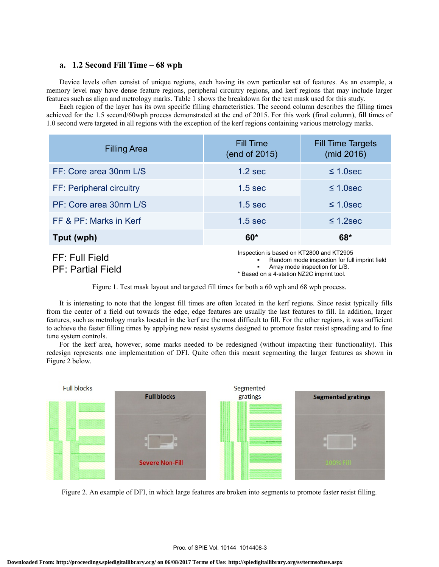#### **a. 1.2 Second Fill Time – 68 wph**

 Device levels often consist of unique regions, each having its own particular set of features. As an example, a memory level may have dense feature regions, peripheral circuitry regions, and kerf regions that may include larger features such as align and metrology marks. Table 1 shows the breakdown for the test mask used for this study.

 Each region of the layer has its own specific filling characteristics. The second column describes the filling times achieved for the 1.5 second/60wph process demonstrated at the end of 2015. For this work (final column), fill times of 1.0 second were targeted in all regions with the exception of the kerf regions containing various metrology marks.

| <b>Filling Area</b>      | <b>Fill Time</b><br>(end of 2015)                                                         | <b>Fill Time Targets</b><br>(mid 2016) |
|--------------------------|-------------------------------------------------------------------------------------------|----------------------------------------|
| FF: Core area 30nm L/S   | $1.2$ sec                                                                                 | $\leq$ 1.0sec                          |
| FF: Peripheral circuitry | 1.5 <sub>sec</sub>                                                                        | $\leq$ 1.0sec                          |
| PF: Core area 30nm L/S   | 1.5 <sub>sec</sub>                                                                        | $\leq$ 1.0sec                          |
| FF & PF: Marks in Kerf   | $1.5$ sec                                                                                 | $\leq$ 1.2sec                          |
| Tput (wph)               | $60*$                                                                                     | $68*$                                  |
| FF: Full Field           | Inspection is based on KT2800 and KT2905<br>Random mode inspection for full imprint field |                                        |

PF: Partial Field

- Array mode inspection for L/S.
- \* Based on a 4-station NZ2C imprint tool.

Figure 1. Test mask layout and targeted fill times for both a 60 wph and 68 wph process.

 It is interesting to note that the longest fill times are often located in the kerf regions. Since resist typically fills from the center of a field out towards the edge, edge features are usually the last features to fill. In addition, larger features, such as metrology marks located in the kerf are the most difficult to fill. For the other regions, it was sufficient to achieve the faster filling times by applying new resist systems designed to promote faster resist spreading and to fine tune system controls.

 For the kerf area, however, some marks needed to be redesigned (without impacting their functionality). This redesign represents one implementation of DFI. Quite often this meant segmenting the larger features as shown in Figure 2 below.



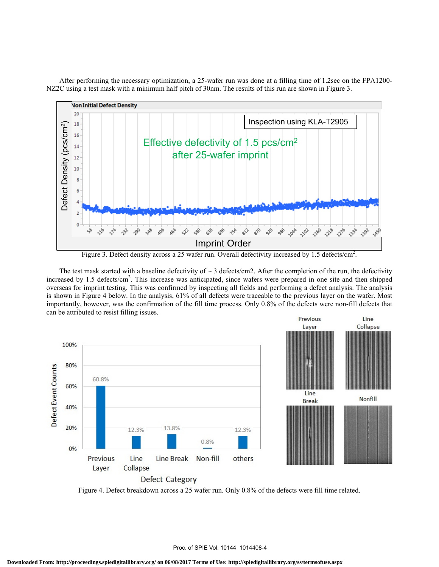After performing the necessary optimization, a 25-wafer run was done at a filling time of 1.2sec on the FPA1200- NZ2C using a test mask with a minimum half pitch of 30nm. The results of this run are shown in Figure 3.



Figure 3. Defect density across a 25 wafer run. Overall defectivity increased by 1.5 defects/cm<sup>2</sup>.

The test mask started with a baseline defectivity of  $\sim$  3 defects/cm2. After the completion of the run, the defectivity increased by 1.5 defects/cm<sup>2</sup>. This increase was anticipated, since wafers were prepared in one site and then shipped overseas for imprint testing. This was confirmed by inspecting all fields and performing a defect analysis. The analysis is shown in Figure 4 below. In the analysis, 61% of all defects were traceable to the previous layer on the wafer. Most importantly, however, was the confirmation of the fill time process. Only 0.8% of the defects were non-fill defects that can be attributed to resist filling issues.



Figure 4. Defect breakdown across a 25 wafer run. Only 0.8% of the defects were fill time related.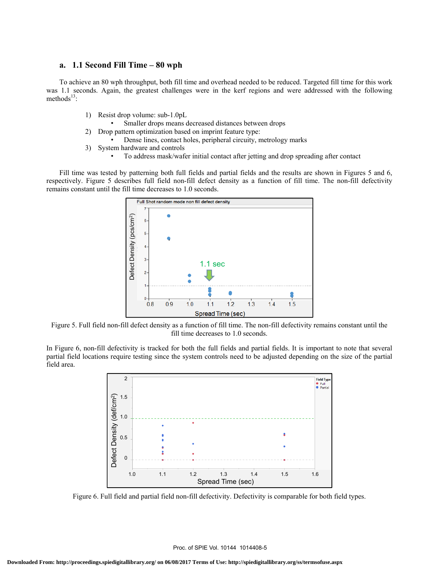### **a. 1.1 Second Fill Time – 80 wph**

 To achieve an 80 wph throughput, both fill time and overhead needed to be reduced. Targeted fill time for this work was 1.1 seconds. Again, the greatest challenges were in the kerf regions and were addressed with the following  $methods<sup>13</sup>$ :

- 1) Resist drop volume: sub-1.0pL
	- Smaller drops means decreased distances between drops
- 2) Drop pattern optimization based on imprint feature type:
	- Dense lines, contact holes, peripheral circuity, metrology marks
- 3) System hardware and controls
	- To address mask/wafer initial contact after jetting and drop spreading after contact

 Fill time was tested by patterning both full fields and partial fields and the results are shown in Figures 5 and 6, respectively. Figure 5 describes full field non-fill defect density as a function of fill time. The non-fill defectivity remains constant until the fill time decreases to 1.0 seconds.



Figure 5. Full field non-fill defect density as a function of fill time. The non-fill defectivity remains constant until the fill time decreases to 1.0 seconds.

In Figure 6, non-fill defectivity is tracked for both the full fields and partial fields. It is important to note that several partial field locations require testing since the system controls need to be adjusted depending on the size of the partial field area.



Figure 6. Full field and partial field non-fill defectivity. Defectivity is comparable for both field types.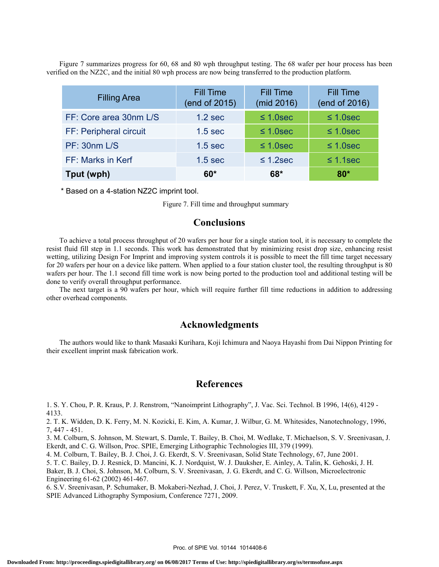Figure 7 summarizes progress for 60, 68 and 80 wph throughput testing. The 68 wafer per hour process has been verified on the NZ2C, and the initial 80 wph process are now being transferred to the production platform.

| <b>Filling Area</b>    | <b>Fill Time</b><br>(end of 2015) | <b>Fill Time</b><br>(mid 2016) | <b>Fill Time</b><br>(end of 2016) |
|------------------------|-----------------------------------|--------------------------------|-----------------------------------|
| FF: Core area 30nm L/S | $1.2$ sec                         | $\leq 1.0$ sec                 | $\leq 1.0$ sec                    |
| FF: Peripheral circuit | 1.5 <sub>sec</sub>                | $\leq 1.0$ sec                 | $\leq 1.0$ sec                    |
| <b>PF: 30nm L/S</b>    | $1.5$ sec                         | $\leq 1.0$ sec                 | $\leq 1.0$ sec                    |
| FF: Marks in Kerf      | $1.5$ sec                         | $\leq$ 1.2sec                  | $\leq$ 1.1sec                     |
| Tput (wph)             | $60*$                             | 68*                            | $80*$                             |

\* Based on a 4-station NZ2C imprint tool.

Figure 7. Fill time and throughput summary

## **Conclusions**

 To achieve a total process throughput of 20 wafers per hour for a single station tool, it is necessary to complete the resist fluid fill step in 1.1 seconds. This work has demonstrated that by minimizing resist drop size, enhancing resist wetting, utilizing Design For Imprint and improving system controls it is possible to meet the fill time target necessary for 20 wafers per hour on a device like pattern. When applied to a four station cluster tool, the resulting throughput is 80 wafers per hour. The 1.1 second fill time work is now being ported to the production tool and additional testing will be done to verify overall throughput performance.

 The next target is a 90 wafers per hour, which will require further fill time reductions in addition to addressing other overhead components.

### **Acknowledgments**

The authors would like to thank Masaaki Kurihara, Koji Ichimura and Naoya Hayashi from Dai Nippon Printing for their excellent imprint mask fabrication work.

## **References**

1. S. Y. Chou, P. R. Kraus, P. J. Renstrom, "Nanoimprint Lithography", J. Vac. Sci. Technol. B 1996, 14(6), 4129 - 4133.

2. T. K. Widden, D. K. Ferry, M. N. Kozicki, E. Kim, A. Kumar, J. Wilbur, G. M. Whitesides, Nanotechnology, 1996, 7, 447 - 451.

3. M. Colburn, S. Johnson, M. Stewart, S. Damle, T. Bailey, B. Choi, M. Wedlake, T. Michaelson, S. V. Sreenivasan, J. Ekerdt, and C. G. Willson, Proc. SPIE, Emerging Lithographic Technologies III, 379 (1999).

4. M. Colburn, T. Bailey, B. J. Choi, J. G. Ekerdt, S. V. Sreenivasan, Solid State Technology, 67, June 2001.

5. T. C. Bailey, D. J. Resnick, D. Mancini, K. J. Nordquist, W. J. Dauksher, E. Ainley, A. Talin, K. Gehoski, J. H.

Baker, B. J. Choi, S. Johnson, M. Colburn, S. V. Sreenivasan, J. G. Ekerdt, and C. G. Willson, Microelectronic Engineering 61-62 (2002) 461-467.

6. S.V. Sreenivasan, P. Schumaker, B. Mokaberi-Nezhad, J. Choi, J. Perez, V. Truskett, F. Xu, X, Lu, presented at the SPIE Advanced Lithography Symposium, Conference 7271, 2009.